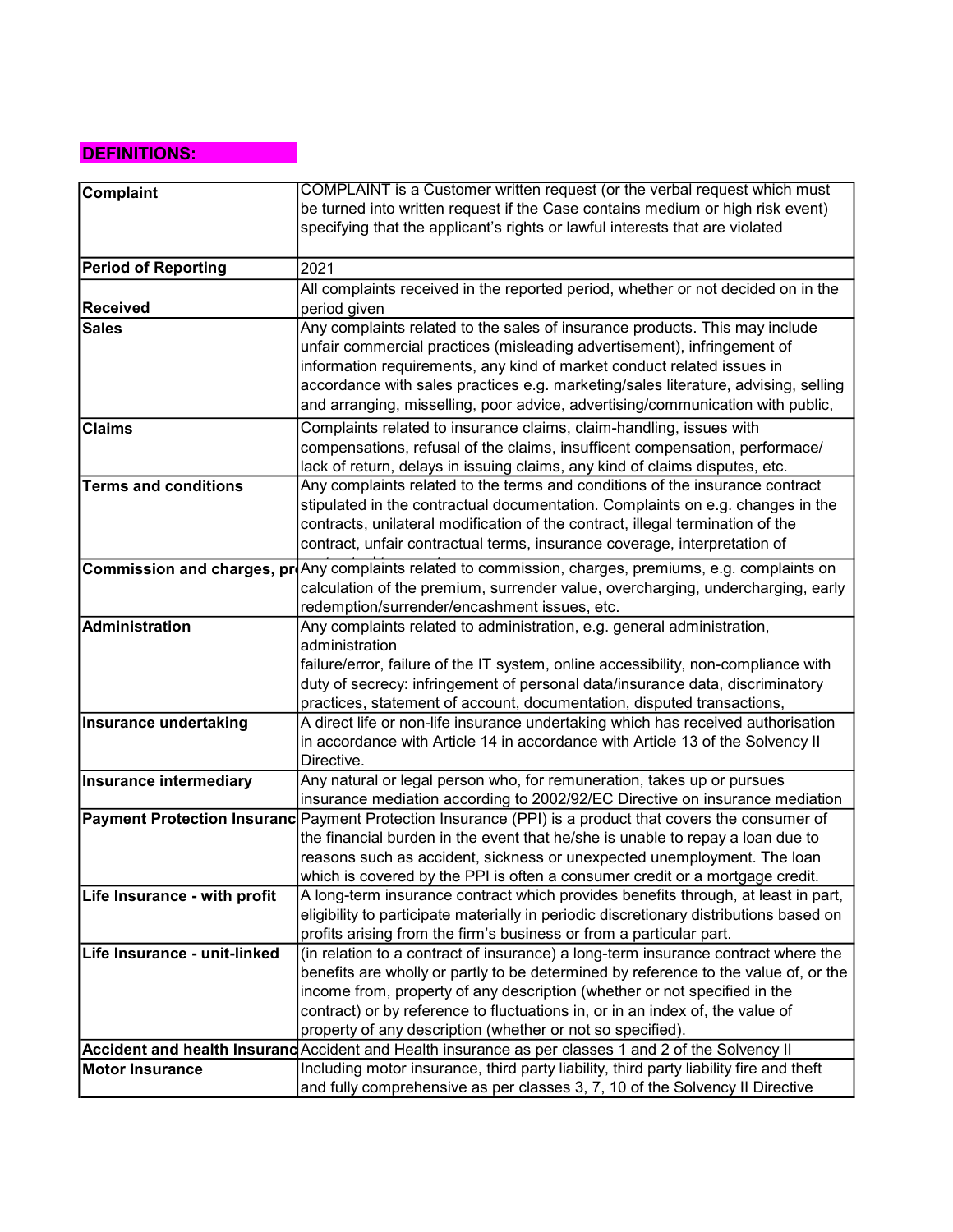## DEFINITIONS:

| <b>Complaint</b>              | COMPLAINT is a Customer written request (or the verbal request which must                               |
|-------------------------------|---------------------------------------------------------------------------------------------------------|
|                               | be turned into written request if the Case contains medium or high risk event)                          |
|                               | specifying that the applicant's rights or lawful interests that are violated                            |
|                               |                                                                                                         |
| <b>Period of Reporting</b>    | 2021                                                                                                    |
|                               | All complaints received in the reported period, whether or not decided on in the                        |
| <b>Received</b>               | period given                                                                                            |
| <b>Sales</b>                  | Any complaints related to the sales of insurance products. This may include                             |
|                               | unfair commercial practices (misleading advertisement), infringement of                                 |
|                               | information requirements, any kind of market conduct related issues in                                  |
|                               | accordance with sales practices e.g. marketing/sales literature, advising, selling                      |
|                               | and arranging, misselling, poor advice, advertising/communication with public,                          |
| <b>Claims</b>                 | Complaints related to insurance claims, claim-handling, issues with                                     |
|                               | compensations, refusal of the claims, insufficent compensation, performace/                             |
|                               | lack of return, delays in issuing claims, any kind of claims disputes, etc.                             |
| <b>Terms and conditions</b>   | Any complaints related to the terms and conditions of the insurance contract                            |
|                               | stipulated in the contractual documentation. Complaints on e.g. changes in the                          |
|                               | contracts, unilateral modification of the contract, illegal termination of the                          |
|                               | contract, unfair contractual terms, insurance coverage, interpretation of                               |
|                               | Commission and charges, proAny complaints related to commission, charges, premiums, e.g. complaints on  |
|                               | calculation of the premium, surrender value, overcharging, undercharging, early                         |
|                               | redemption/surrender/encashment issues, etc.                                                            |
| <b>Administration</b>         | Any complaints related to administration, e.g. general administration,                                  |
|                               | administration                                                                                          |
|                               | failure/error, failure of the IT system, online accessibility, non-compliance with                      |
|                               | duty of secrecy: infringement of personal data/insurance data, discriminatory                           |
|                               | practices, statement of account, documentation, disputed transactions,                                  |
| <b>Insurance undertaking</b>  | A direct life or non-life insurance undertaking which has received authorisation                        |
|                               | in accordance with Article 14 in accordance with Article 13 of the Solvency II                          |
|                               | Directive.<br>Any natural or legal person who, for remuneration, takes up or pursues                    |
| <b>Insurance intermediary</b> | insurance mediation according to 2002/92/EC Directive on insurance mediation                            |
|                               | Payment Protection Insuranc Payment Protection Insurance (PPI) is a product that covers the consumer of |
|                               | the financial burden in the event that he/she is unable to repay a loan due to                          |
|                               | reasons such as accident, sickness or unexpected unemployment. The loan                                 |
|                               | which is covered by the PPI is often a consumer credit or a mortgage credit.                            |
| Life Insurance - with profit  | A long-term insurance contract which provides benefits through, at least in part,                       |
|                               | eligibility to participate materially in periodic discretionary distributions based on                  |
|                               | profits arising from the firm's business or from a particular part.                                     |
| Life Insurance - unit-linked  | (in relation to a contract of insurance) a long-term insurance contract where the                       |
|                               | benefits are wholly or partly to be determined by reference to the value of, or the                     |
|                               | income from, property of any description (whether or not specified in the                               |
|                               | contract) or by reference to fluctuations in, or in an index of, the value of                           |
|                               | property of any description (whether or not so specified).                                              |
|                               | Accident and health Insurand Accident and Health insurance as per classes 1 and 2 of the Solvency II    |
| <b>Motor Insurance</b>        | Including motor insurance, third party liability, third party liability fire and theft                  |
|                               | and fully comprehensive as per classes 3, 7, 10 of the Solvency II Directive                            |